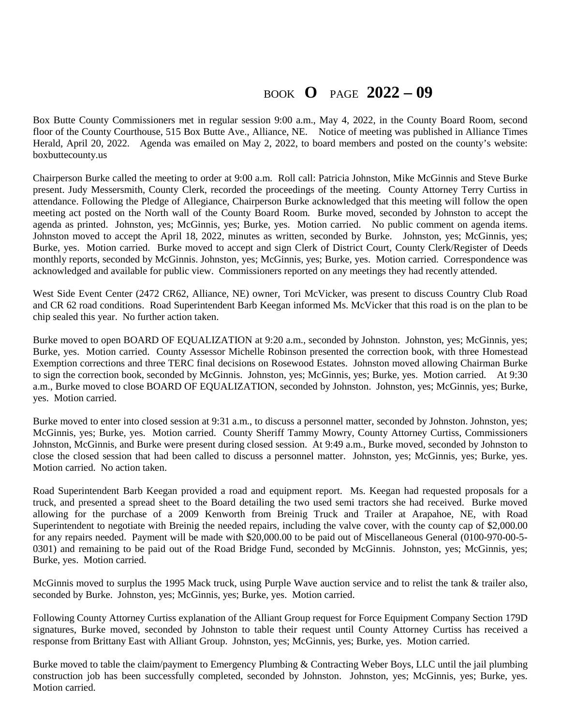## BOOK **O** PAGE **2022 – 09**

Box Butte County Commissioners met in regular session 9:00 a.m., May 4, 2022, in the County Board Room, second floor of the County Courthouse, 515 Box Butte Ave., Alliance, NE. Notice of meeting was published in Alliance Times Herald, April 20, 2022. Agenda was emailed on May 2, 2022, to board members and posted on the county's website: boxbuttecounty.us

Chairperson Burke called the meeting to order at 9:00 a.m. Roll call: Patricia Johnston, Mike McGinnis and Steve Burke present. Judy Messersmith, County Clerk, recorded the proceedings of the meeting. County Attorney Terry Curtiss in attendance. Following the Pledge of Allegiance, Chairperson Burke acknowledged that this meeting will follow the open meeting act posted on the North wall of the County Board Room. Burke moved, seconded by Johnston to accept the agenda as printed. Johnston, yes; McGinnis, yes; Burke, yes. Motion carried. No public comment on agenda items. Johnston moved to accept the April 18, 2022, minutes as written, seconded by Burke. Johnston, yes; McGinnis, yes; Burke, yes. Motion carried. Burke moved to accept and sign Clerk of District Court, County Clerk/Register of Deeds monthly reports, seconded by McGinnis. Johnston, yes; McGinnis, yes; Burke, yes. Motion carried. Correspondence was acknowledged and available for public view. Commissioners reported on any meetings they had recently attended.

West Side Event Center (2472 CR62, Alliance, NE) owner, Tori McVicker, was present to discuss Country Club Road and CR 62 road conditions. Road Superintendent Barb Keegan informed Ms. McVicker that this road is on the plan to be chip sealed this year. No further action taken.

Burke moved to open BOARD OF EQUALIZATION at 9:20 a.m., seconded by Johnston. Johnston, yes; McGinnis, yes; Burke, yes. Motion carried. County Assessor Michelle Robinson presented the correction book, with three Homestead Exemption corrections and three TERC final decisions on Rosewood Estates. Johnston moved allowing Chairman Burke to sign the correction book, seconded by McGinnis. Johnston, yes; McGinnis, yes; Burke, yes. Motion carried. At 9:30 a.m., Burke moved to close BOARD OF EQUALIZATION, seconded by Johnston. Johnston, yes; McGinnis, yes; Burke, yes. Motion carried.

Burke moved to enter into closed session at 9:31 a.m., to discuss a personnel matter, seconded by Johnston. Johnston, yes; McGinnis, yes; Burke, yes. Motion carried. County Sheriff Tammy Mowry, County Attorney Curtiss, Commissioners Johnston, McGinnis, and Burke were present during closed session. At 9:49 a.m., Burke moved, seconded by Johnston to close the closed session that had been called to discuss a personnel matter. Johnston, yes; McGinnis, yes; Burke, yes. Motion carried. No action taken.

Road Superintendent Barb Keegan provided a road and equipment report. Ms. Keegan had requested proposals for a truck, and presented a spread sheet to the Board detailing the two used semi tractors she had received. Burke moved allowing for the purchase of a 2009 Kenworth from Breinig Truck and Trailer at Arapahoe, NE, with Road Superintendent to negotiate with Breinig the needed repairs, including the valve cover, with the county cap of \$2,000.00 for any repairs needed. Payment will be made with \$20,000.00 to be paid out of Miscellaneous General (0100-970-00-5- 0301) and remaining to be paid out of the Road Bridge Fund, seconded by McGinnis. Johnston, yes; McGinnis, yes; Burke, yes. Motion carried.

McGinnis moved to surplus the 1995 Mack truck, using Purple Wave auction service and to relist the tank & trailer also, seconded by Burke. Johnston, yes; McGinnis, yes; Burke, yes. Motion carried.

Following County Attorney Curtiss explanation of the Alliant Group request for Force Equipment Company Section 179D signatures, Burke moved, seconded by Johnston to table their request until County Attorney Curtiss has received a response from Brittany East with Alliant Group. Johnston, yes; McGinnis, yes; Burke, yes. Motion carried.

Burke moved to table the claim/payment to Emergency Plumbing & Contracting Weber Boys, LLC until the jail plumbing construction job has been successfully completed, seconded by Johnston. Johnston, yes; McGinnis, yes; Burke, yes. Motion carried.